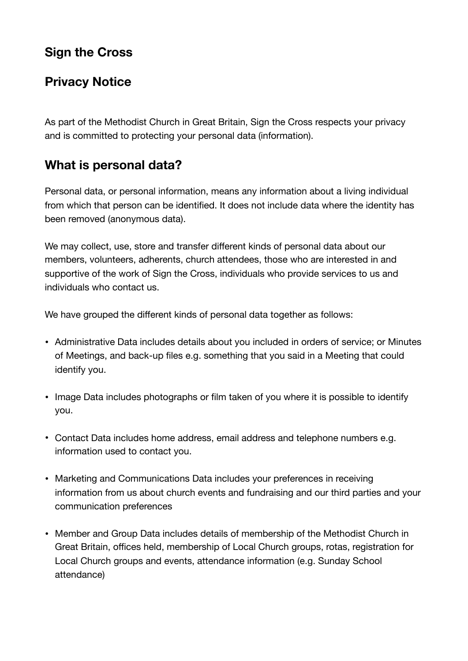# **Sign the Cross**

### **Privacy Notice**

As part of the Methodist Church in Great Britain, Sign the Cross respects your privacy and is committed to protecting your personal data (information).

## **What is personal data?**

Personal data, or personal information, means any information about a living individual from which that person can be identified. It does not include data where the identity has been removed (anonymous data).

We may collect, use, store and transfer different kinds of personal data about our members, volunteers, adherents, church attendees, those who are interested in and supportive of the work of Sign the Cross, individuals who provide services to us and individuals who contact us.

We have grouped the different kinds of personal data together as follows:

- Administrative Data includes details about you included in orders of service; or Minutes of Meetings, and back-up files e.g. something that you said in a Meeting that could identify you.
- Image Data includes photographs or film taken of you where it is possible to identify you.
- Contact Data includes home address, email address and telephone numbers e.g. information used to contact you.
- Marketing and Communications Data includes your preferences in receiving information from us about church events and fundraising and our third parties and your communication preferences
- Member and Group Data includes details of membership of the Methodist Church in Great Britain, offices held, membership of Local Church groups, rotas, registration for Local Church groups and events, attendance information (e.g. Sunday School attendance)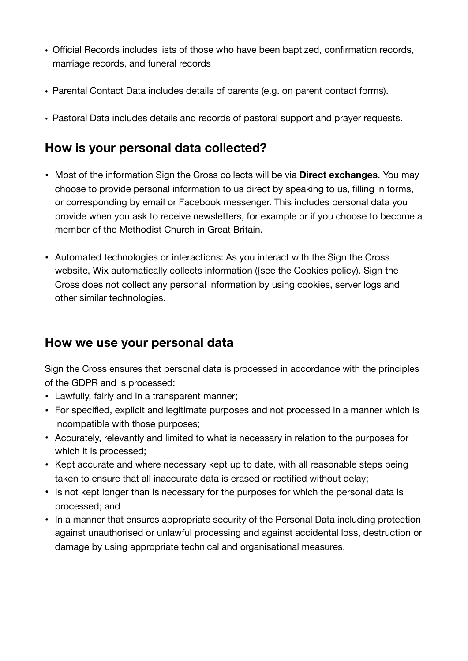- Official Records includes lists of those who have been baptized, confirmation records, marriage records, and funeral records
- Parental Contact Data includes details of parents (e.g. on parent contact forms).
- Pastoral Data includes details and records of pastoral support and prayer requests.

### **How is your personal data collected?**

- Most of the information Sign the Cross collects will be via **Direct exchanges**. You may choose to provide personal information to us direct by speaking to us, filling in forms, or corresponding by email or Facebook messenger. This includes personal data you provide when you ask to receive newsletters, for example or if you choose to become a member of the Methodist Church in Great Britain.
- Automated technologies or interactions: As you interact with the Sign the Cross website, Wix automatically collects information ({see the Cookies policy). Sign the Cross does not collect any personal information by using cookies, server logs and other similar technologies.

#### **How we use your personal data**

Sign the Cross ensures that personal data is processed in accordance with the principles of the GDPR and is processed:

- Lawfully, fairly and in a transparent manner;
- For specified, explicit and legitimate purposes and not processed in a manner which is incompatible with those purposes;
- Accurately, relevantly and limited to what is necessary in relation to the purposes for which it is processed;
- Kept accurate and where necessary kept up to date, with all reasonable steps being taken to ensure that all inaccurate data is erased or rectified without delay;
- Is not kept longer than is necessary for the purposes for which the personal data is processed; and
- In a manner that ensures appropriate security of the Personal Data including protection against unauthorised or unlawful processing and against accidental loss, destruction or damage by using appropriate technical and organisational measures.